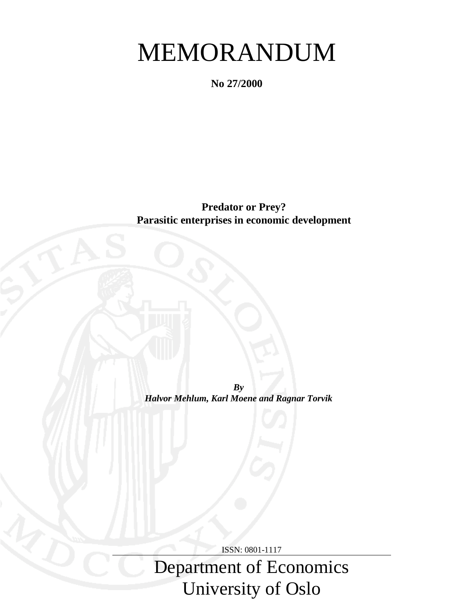# MEMORANDUM

**No 27/2000**

**Predator or Prey? Parasitic enterprises in economic development**

*By Halvor Mehlum, Karl Moene and Ragnar Torvik*

ISSN: 0801-1117

Department of Economics University of Oslo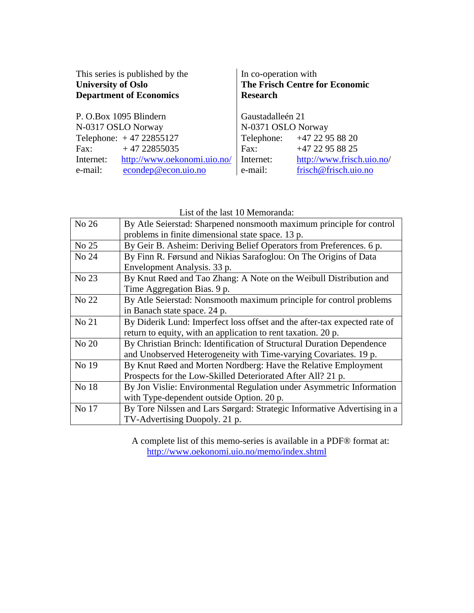| This series is published by the<br><b>University of Oslo</b><br><b>Department of Economics</b> | In co-operation with<br><b>The Frisch Centre for Economic</b><br><b>Research</b> |                            |
|------------------------------------------------------------------------------------------------|----------------------------------------------------------------------------------|----------------------------|
| P. O.Box 1095 Blindern                                                                         | Gaustadalleén 21                                                                 |                            |
| N-0317 OSLO Norway                                                                             | N-0371 OSLO Norway                                                               |                            |
| Telephone: $+4722855127$                                                                       |                                                                                  | Telephone: +47 22 95 88 20 |
| $+4722855035$<br>Fax:                                                                          | Fax:                                                                             | +47 22 95 88 25            |
| http://www.oekonomi.uio.no/<br>Internet:                                                       | Internet:                                                                        | http://www.frisch.uio.no/  |
| econdep@econ.uio.no<br>e-mail:                                                                 | e-mail:                                                                          | frisch@frisch.uio.no       |

List of the last 10 Memoranda:

| No 26 | By Atle Seierstad: Sharpened nonsmooth maximum principle for control      |
|-------|---------------------------------------------------------------------------|
|       | problems in finite dimensional state space. 13 p.                         |
| No 25 | By Geir B. Asheim: Deriving Belief Operators from Preferences. 6 p.       |
| No 24 | By Finn R. Førsund and Nikias Sarafoglou: On The Origins of Data          |
|       | Envelopment Analysis. 33 p.                                               |
| No 23 | By Knut Røed and Tao Zhang: A Note on the Weibull Distribution and        |
|       | Time Aggregation Bias. 9 p.                                               |
| No 22 | By Atle Seierstad: Nonsmooth maximum principle for control problems       |
|       | in Banach state space. 24 p.                                              |
| No 21 | By Diderik Lund: Imperfect loss offset and the after-tax expected rate of |
|       | return to equity, with an application to rent taxation. 20 p.             |
| No 20 | By Christian Brinch: Identification of Structural Duration Dependence     |
|       | and Unobserved Heterogeneity with Time-varying Covariates. 19 p.          |
| No 19 | By Knut Røed and Morten Nordberg: Have the Relative Employment            |
|       | Prospects for the Low-Skilled Deteriorated After All? 21 p.               |
| No 18 | By Jon Vislie: Environmental Regulation under Asymmetric Information      |
|       | with Type-dependent outside Option. 20 p.                                 |
| No 17 | By Tore Nilssen and Lars Sørgard: Strategic Informative Advertising in a  |
|       | TV-Advertising Duopoly. 21 p.                                             |

A complete list of this memo-series is available in a PDF® format at: http://www.oekonomi.uio.no/memo/index.shtml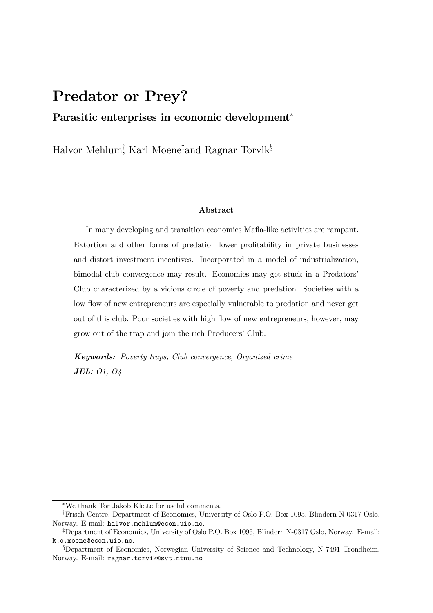## Predator or Prey?

### Parasitic enterprises in economic development<sup>\*</sup>

Halvor Mehlum, Karl Moene‡and Ragnar Torvik<sup>§</sup>

#### Abstract

In many developing and transition economies Mafia-like activities are rampant. Extortion and other forms of predation lower profitability in private businesses and distort investment incentives. Incorporated in a model of industrialization, bimodal club convergence may result. Economies may get stuck in a Predators' Club characterized by a vicious circle of poverty and predation. Societies with a low flow of new entrepreneurs are especially vulnerable to predation and never get out of this club. Poor societies with high ‡ow of new entrepreneurs, however, may grow out of the trap and join the rich Producers' Club.

Keywords: Poverty traps, Club convergence, Organized crime JEL: O1, O4

 $*$ We thank Tor Jakob Klette for useful comments.

<sup>&</sup>lt;sup>†</sup>Frisch Centre, Department of Economics, University of Oslo P.O. Box 1095, Blindern N-0317 Oslo, Norway. E-mail: halvor.mehlum@econ.uio.no.

<sup>&</sup>lt;sup>‡</sup>Department of Economics, University of Oslo P.O. Box 1095, Blindern N-0317 Oslo, Norway. E-mail: k.o.moene@econ.uio.no.

<sup>&</sup>lt;sup>§</sup>Department of Economics, Norwegian University of Science and Technology, N-7491 Trondheim, Norway. E-mail: ragnar.torvik@svt.ntnu.no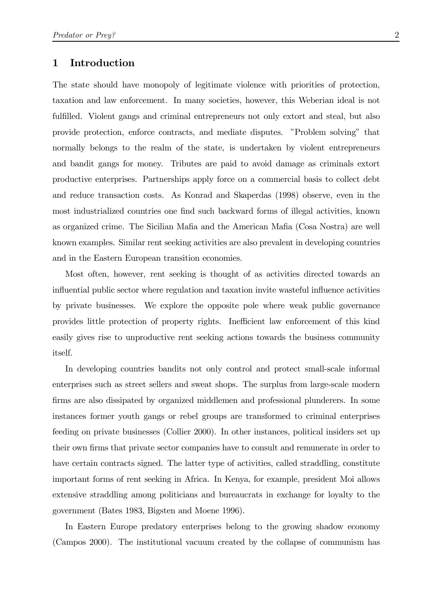## 1 Introduction

The state should have monopoly of legitimate violence with priorities of protection, taxation and law enforcement. In many societies, however, this Weberian ideal is not fulfilled. Violent gangs and criminal entrepreneurs not only extort and steal, but also provide protection, enforce contracts, and mediate disputes. "Problem solving" that normally belongs to the realm of the state, is undertaken by violent entrepreneurs and bandit gangs for money. Tributes are paid to avoid damage as criminals extort productive enterprises. Partnerships apply force on a commercial basis to collect debt and reduce transaction costs. As Konrad and Skaperdas (1998) observe, even in the most industrialized countries one find such backward forms of illegal activities, known as organized crime. The Sicilian Mafia and the American Mafia (Cosa Nostra) are well known examples. Similar rent seeking activities are also prevalent in developing countries and in the Eastern European transition economies.

Most often, however, rent seeking is thought of as activities directed towards an influential public sector where regulation and taxation invite wasteful influence activities by private businesses. We explore the opposite pole where weak public governance provides little protection of property rights. Inefficient law enforcement of this kind easily gives rise to unproductive rent seeking actions towards the business community itself.

In developing countries bandits not only control and protect small-scale informal enterprises such as street sellers and sweat shops. The surplus from large-scale modern firms are also dissipated by organized middlemen and professional plunderers. In some instances former youth gangs or rebel groups are transformed to criminal enterprises feeding on private businesses (Collier 2000). In other instances, political insiders set up their own firms that private sector companies have to consult and remunerate in order to have certain contracts signed. The latter type of activities, called straddling, constitute important forms of rent seeking in Africa. In Kenya, for example, president Moi allows extensive straddling among politicians and bureaucrats in exchange for loyalty to the government (Bates 1983, Bigsten and Moene 1996).

In Eastern Europe predatory enterprises belong to the growing shadow economy (Campos 2000). The institutional vacuum created by the collapse of communism has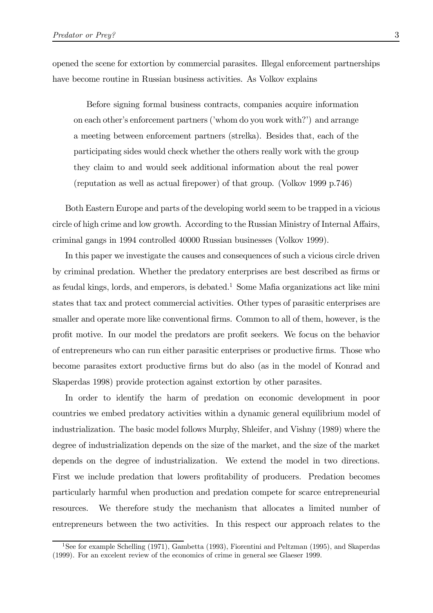opened the scene for extortion by commercial parasites. Illegal enforcement partnerships have become routine in Russian business activities. As Volkov explains

Before signing formal business contracts, companies acquire information on each other's enforcement partners ('whom do you work with?') and arrange a meeting between enforcement partners (strelka). Besides that, each of the participating sides would check whether the others really work with the group they claim to and would seek additional information about the real power (reputation as well as actual firepower) of that group. (Volkov 1999 p.746)

Both Eastern Europe and parts of the developing world seem to be trapped in a vicious circle of high crime and low growth. According to the Russian Ministry of Internal A¤airs, criminal gangs in 1994 controlled 40000 Russian businesses (Volkov 1999).

In this paper we investigate the causes and consequences of such a vicious circle driven by criminal predation. Whether the predatory enterprises are best described as firms or as feudal kings, lords, and emperors, is debated.<sup>1</sup> Some Mafia organizations act like mini states that tax and protect commercial activities. Other types of parasitic enterprises are smaller and operate more like conventional firms. Common to all of them, however, is the profit motive. In our model the predators are profit seekers. We focus on the behavior of entrepreneurs who can run either parasitic enterprises or productive firms. Those who become parasites extort productive firms but do also (as in the model of Konrad and Skaperdas 1998) provide protection against extortion by other parasites.

In order to identify the harm of predation on economic development in poor countries we embed predatory activities within a dynamic general equilibrium model of industrialization. The basic model follows Murphy, Shleifer, and Vishny (1989) where the degree of industrialization depends on the size of the market, and the size of the market depends on the degree of industrialization. We extend the model in two directions. First we include predation that lowers profitability of producers. Predation becomes particularly harmful when production and predation compete for scarce entrepreneurial resources. We therefore study the mechanism that allocates a limited number of entrepreneurs between the two activities. In this respect our approach relates to the

<sup>1</sup>See for example Schelling (1971), Gambetta (1993), Fiorentini and Peltzman (1995), and Skaperdas (1999). For an excelent review of the economics of crime in general see Glaeser 1999.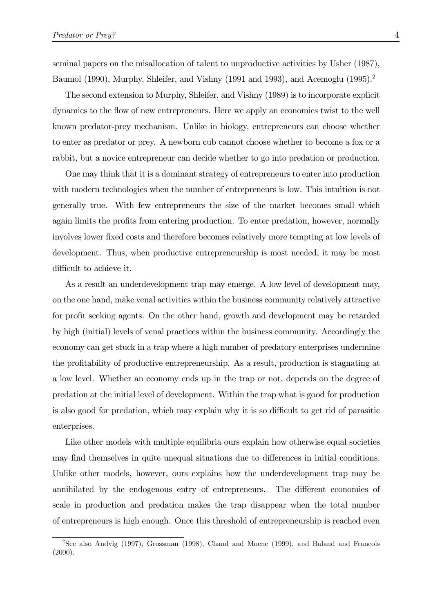seminal papers on the misallocation of talent to unproductive activities by Usher (1987), Baumol (1990), Murphy, Shleifer, and Vishny (1991 and 1993), and Acemoglu (1995).<sup>2</sup>

The second extension to Murphy, Shleifer, and Vishny (1989) is to incorporate explicit dynamics to the ‡ow of new entrepreneurs. Here we apply an economics twist to the well known predator-prey mechanism. Unlike in biology, entrepreneurs can choose whether to enter as predator or prey. A newborn cub cannot choose whether to become a fox or a rabbit, but a novice entrepreneur can decide whether to go into predation or production.

One may think that it is a dominant strategy of entrepreneurs to enter into production with modern technologies when the number of entrepreneurs is low. This intuition is not generally true. With few entrepreneurs the size of the market becomes small which again limits the profits from entering production. To enter predation, however, normally involves lower fixed costs and therefore becomes relatively more tempting at low levels of development. Thus, when productive entrepreneurship is most needed, it may be most difficult to achieve it.

As a result an underdevelopment trap may emerge. A low level of development may, on the one hand, make venal activities within the business community relatively attractive for profit seeking agents. On the other hand, growth and development may be retarded by high (initial) levels of venal practices within the business community. Accordingly the economy can get stuck in a trap where a high number of predatory enterprises undermine the profitability of productive entrepreneurship. As a result, production is stagnating at a low level. Whether an economy ends up in the trap or not, depends on the degree of predation at the initial level of development. Within the trap what is good for production is also good for predation, which may explain why it is so difficult to get rid of parasitic enterprises.

Like other models with multiple equilibria ours explain how otherwise equal societies may find themselves in quite unequal situations due to differences in initial conditions. Unlike other models, however, ours explains how the underdevelopment trap may be annihilated by the endogenous entry of entrepreneurs. The different economies of scale in production and predation makes the trap disappear when the total number of entrepreneurs is high enough. Once this threshold of entrepreneurship is reached even

<sup>2</sup>See also Andvig (1997), Grossman (1998), Chand and Moene (1999), and Baland and Francois  $(2000).$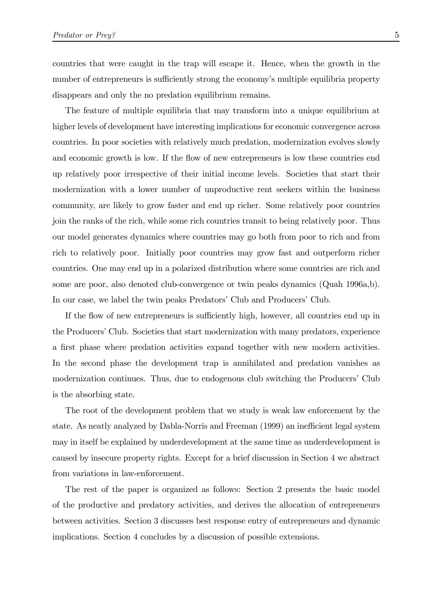countries that were caught in the trap will escape it. Hence, when the growth in the number of entrepreneurs is sufficiently strong the economy's multiple equilibria property disappears and only the no predation equilibrium remains.

The feature of multiple equilibria that may transform into a unique equilibrium at higher levels of development have interesting implications for economic convergence across countries. In poor societies with relatively much predation, modernization evolves slowly and economic growth is low. If the flow of new entrepreneurs is low these countries end up relatively poor irrespective of their initial income levels. Societies that start their modernization with a lower number of unproductive rent seekers within the business community, are likely to grow faster and end up richer. Some relatively poor countries join the ranks of the rich, while some rich countries transit to being relatively poor. Thus our model generates dynamics where countries may go both from poor to rich and from rich to relatively poor. Initially poor countries may grow fast and outperform richer countries. One may end up in a polarized distribution where some countries are rich and some are poor, also denoted club-convergence or twin peaks dynamics (Quah 1996a,b). In our case, we label the twin peaks Predators' Club and Producers' Club.

If the flow of new entrepreneurs is sufficiently high, however, all countries end up in the Producers' Club. Societies that start modernization with many predators, experience a first phase where predation activities expand together with new modern activities. In the second phase the development trap is annihilated and predation vanishes as modernization continues. Thus, due to endogenous club switching the Producers' Club is the absorbing state.

The root of the development problem that we study is weak law enforcement by the state. As neatly analyzed by Dabla-Norris and Freeman (1999) an inefficient legal system may in itself be explained by underdevelopment at the same time as underdevelopment is caused by insecure property rights. Except for a brief discussion in Section 4 we abstract from variations in law-enforcement.

The rest of the paper is organized as follows: Section 2 presents the basic model of the productive and predatory activities, and derives the allocation of entrepreneurs between activities. Section 3 discusses best response entry of entrepreneurs and dynamic implications. Section 4 concludes by a discussion of possible extensions.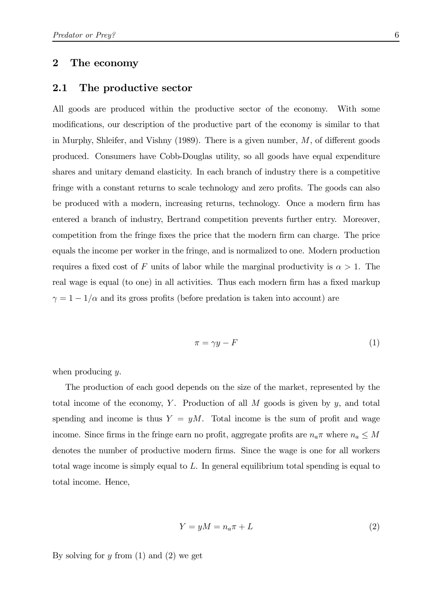#### 2 The economy

#### 2.1 The productive sector

All goods are produced within the productive sector of the economy. With some modifications, our description of the productive part of the economy is similar to that in Murphy, Shleifer, and Vishny  $(1989)$ . There is a given number, M, of different goods produced. Consumers have Cobb-Douglas utility, so all goods have equal expenditure shares and unitary demand elasticity. In each branch of industry there is a competitive fringe with a constant returns to scale technology and zero profits. The goods can also be produced with a modern, increasing returns, technology. Once a modern firm has entered a branch of industry, Bertrand competition prevents further entry. Moreover, competition from the fringe fixes the price that the modern firm can charge. The price equals the income per worker in the fringe, and is normalized to one. Modern production requires a fixed cost of F units of labor while the marginal productivity is  $\alpha > 1$ . The real wage is equal (to one) in all activities. Thus each modern firm has a fixed markup  $\gamma = 1 - 1/\alpha$  and its gross profits (before predation is taken into account) are

$$
\pi = \gamma y - F \tag{1}
$$

when producing  $y$ .

The production of each good depends on the size of the market, represented by the total income of the economy, Y. Production of all  $M$  goods is given by  $y$ , and total spending and income is thus  $Y = yM$ . Total income is the sum of profit and wage income. Since firms in the fringe earn no profit, aggregate profits are  $n_a \pi$  where  $n_a \leq M$ denotes the number of productive modern firms. Since the wage is one for all workers total wage income is simply equal to  $L$ . In general equilibrium total spending is equal to total income. Hence,

$$
Y = yM = n_a \pi + L \tag{2}
$$

By solving for  $y$  from  $(1)$  and  $(2)$  we get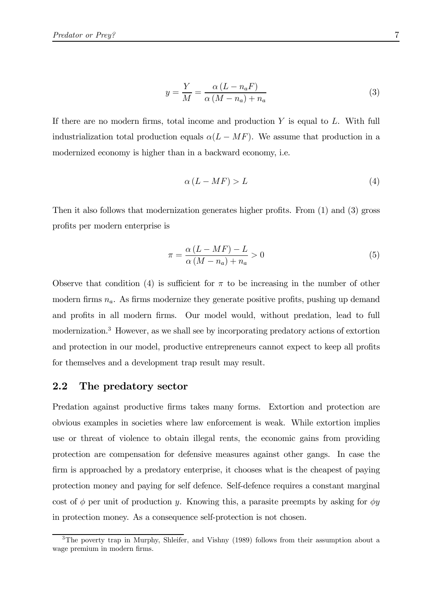$$
y = \frac{Y}{M} = \frac{\alpha (L - n_a F)}{\alpha (M - n_a) + n_a} \tag{3}
$$

If there are no modern firms, total income and production  $Y$  is equal to  $L$ . With full industrialization total production equals  $\alpha(L-MF)$ . We assume that production in a modernized economy is higher than in a backward economy, i.e.

$$
\alpha \left( L - MF \right) > L \tag{4}
$$

Then it also follows that modernization generates higher profits. From  $(1)$  and  $(3)$  gross profits per modern enterprise is

$$
\pi = \frac{\alpha (L - MF) - L}{\alpha (M - n_a) + n_a} > 0
$$
\n(5)

Observe that condition (4) is sufficient for  $\pi$  to be increasing in the number of other modern firms  $n_a$ . As firms modernize they generate positive profits, pushing up demand and profits in all modern firms. Our model would, without predation, lead to full modernization.3 However, as we shall see by incorporating predatory actions of extortion and protection in our model, productive entrepreneurs cannot expect to keep all profits for themselves and a development trap result may result.

#### 2.2 The predatory sector

Predation against productive firms takes many forms. Extortion and protection are obvious examples in societies where law enforcement is weak. While extortion implies use or threat of violence to obtain illegal rents, the economic gains from providing protection are compensation for defensive measures against other gangs. In case the firm is approached by a predatory enterprise, it chooses what is the cheapest of paying protection money and paying for self defence. Self-defence requires a constant marginal cost of  $\phi$  per unit of production y. Knowing this, a parasite preempts by asking for  $\phi y$ in protection money. As a consequence self-protection is not chosen.

<sup>&</sup>lt;sup>3</sup>The poverty trap in Murphy, Shleifer, and Vishny (1989) follows from their assumption about a wage premium in modern firms.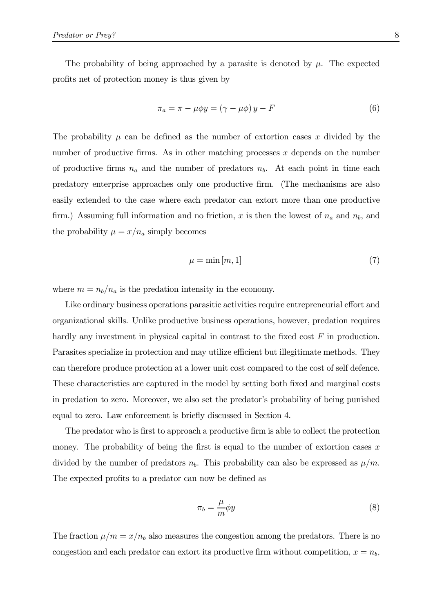The probability of being approached by a parasite is denoted by  $\mu$ . The expected profits net of protection money is thus given by

$$
\pi_a = \pi - \mu \phi y = (\gamma - \mu \phi) y - F \tag{6}
$$

The probability  $\mu$  can be defined as the number of extortion cases x divided by the number of productive firms. As in other matching processes  $x$  depends on the number of productive firms  $n_a$  and the number of predators  $n_b$ . At each point in time each predatory enterprise approaches only one productive firm. (The mechanisms are also easily extended to the case where each predator can extort more than one productive firm.) Assuming full information and no friction, x is then the lowest of  $n_a$  and  $n_b$ , and the probability  $\mu = x/n_a$  simply becomes

$$
\mu = \min[m, 1] \tag{7}
$$

where  $m = n_b/n_a$  is the predation intensity in the economy.

Like ordinary business operations parasitic activities require entrepreneurial effort and organizational skills. Unlike productive business operations, however, predation requires hardly any investment in physical capital in contrast to the fixed cost  $F$  in production. Parasites specialize in protection and may utilize efficient but illegitimate methods. They can therefore produce protection at a lower unit cost compared to the cost of self defence. These characteristics are captured in the model by setting both fixed and marginal costs in predation to zero. Moreover, we also set the predator's probability of being punished equal to zero. Law enforcement is briefly discussed in Section 4.

The predator who is first to approach a productive firm is able to collect the protection money. The probability of being the first is equal to the number of extortion cases  $x$ divided by the number of predators  $n_b$ . This probability can also be expressed as  $\mu/m$ . The expected profits to a predator can now be defined as

$$
\pi_b = \frac{\mu}{m} \phi y \tag{8}
$$

The fraction  $\mu/m = x/n_b$  also measures the congestion among the predators. There is no congestion and each predator can extort its productive firm without competition,  $x = n_b$ ;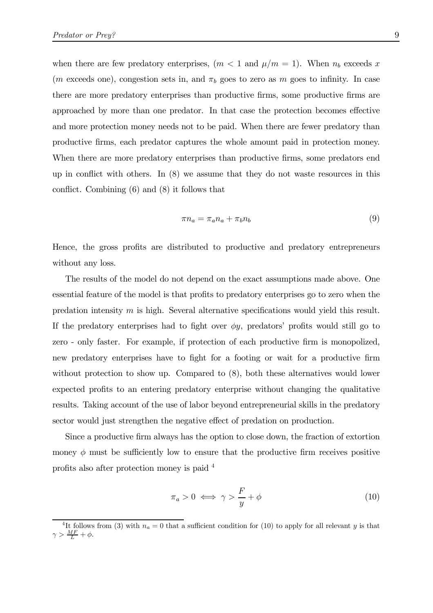when there are few predatory enterprises,  $(m < 1 \text{ and } \mu/m = 1)$ . When  $n_b$  exceeds x (*m* exceeds one), congestion sets in, and  $\pi_b$  goes to zero as *m* goes to infinity. In case there are more predatory enterprises than productive firms, some productive firms are approached by more than one predator. In that case the protection becomes effective and more protection money needs not to be paid. When there are fewer predatory than productive firms, each predator captures the whole amount paid in protection money. When there are more predatory enterprises than productive firms, some predators end up in conflict with others. In  $(8)$  we assume that they do not waste resources in this conflict. Combining  $(6)$  and  $(8)$  it follows that

$$
\pi n_a = \pi_a n_a + \pi_b n_b \tag{9}
$$

Hence, the gross profits are distributed to productive and predatory entrepreneurs without any loss.

The results of the model do not depend on the exact assumptions made above. One essential feature of the model is that profits to predatory enterprises go to zero when the predation intensity  $m$  is high. Several alternative specifications would yield this result. If the predatory enterprises had to fight over  $\phi y$ , predators' profits would still go to zero - only faster. For example, if protection of each productive firm is monopolized, new predatory enterprises have to fight for a footing or wait for a productive firm without protection to show up. Compared to (8), both these alternatives would lower expected profits to an entering predatory enterprise without changing the qualitative results. Taking account of the use of labor beyond entrepreneurial skills in the predatory sector would just strengthen the negative effect of predation on production.

Since a productive firm always has the option to close down, the fraction of extortion money  $\phi$  must be sufficiently low to ensure that the productive firm receives positive profits also after protection money is paid  $4$ 

$$
\pi_a > 0 \iff \gamma > \frac{F}{y} + \phi \tag{10}
$$

<sup>&</sup>lt;sup>4</sup>It follows from (3) with  $n_a = 0$  that a sufficient condition for (10) to apply for all relevant y is that  $\gamma > \frac{MF}{L} + \phi$ .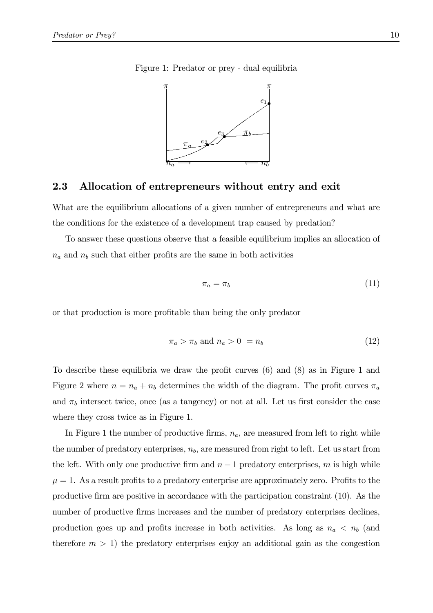Figure 1: Predator or prey - dual equilibria



#### 2.3 Allocation of entrepreneurs without entry and exit

What are the equilibrium allocations of a given number of entrepreneurs and what are the conditions for the existence of a development trap caused by predation?

To answer these questions observe that a feasible equilibrium implies an allocation of  $n_a$  and  $n_b$  such that either profits are the same in both activities

$$
\pi_a = \pi_b \tag{11}
$$

or that production is more profitable than being the only predator

$$
\pi_a > \pi_b \text{ and } n_a > 0 = n_b \tag{12}
$$

To describe these equilibria we draw the profit curves  $(6)$  and  $(8)$  as in Figure 1 and Figure 2 where  $n = n_a + n_b$  determines the width of the diagram. The profit curves  $\pi_a$ and  $\pi_b$  intersect twice, once (as a tangency) or not at all. Let us first consider the case where they cross twice as in Figure 1.

In Figure 1 the number of productive firms,  $n_a$ , are measured from left to right while the number of predatory enterprises,  $n_b$ , are measured from right to left. Let us start from the left. With only one productive firm and  $n-1$  predatory enterprises, m is high while  $\mu = 1$ . As a result profits to a predatory enterprise are approximately zero. Profits to the productive firm are positive in accordance with the participation constraint (10). As the number of productive firms increases and the number of predatory enterprises declines, production goes up and profits increase in both activities. As long as  $n_a < n_b$  (and therefore  $m > 1$ ) the predatory enterprises enjoy an additional gain as the congestion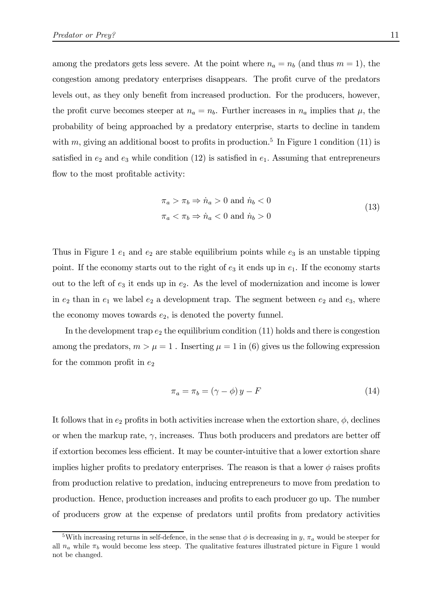among the predators gets less severe. At the point where  $n_a = n_b$  (and thus  $m = 1$ ), the congestion among predatory enterprises disappears. The profit curve of the predators levels out, as they only benefit from increased production. For the producers, however, the profit curve becomes steeper at  $n_a = n_b$ . Further increases in  $n_a$  implies that  $\mu$ , the probability of being approached by a predatory enterprise, starts to decline in tandem with m, giving an additional boost to profits in production.<sup>5</sup> In Figure 1 condition (11) is satisfied in  $e_2$  and  $e_3$  while condition (12) is satisfied in  $e_1$ . Assuming that entrepreneurs flow to the most profitable activity:

$$
\pi_a > \pi_b \Rightarrow \dot{n}_a > 0 \text{ and } \dot{n}_b < 0
$$
  
\n
$$
\pi_a < \pi_b \Rightarrow \dot{n}_a < 0 \text{ and } \dot{n}_b > 0
$$
\n(13)

Thus in Figure 1  $e_1$  and  $e_2$  are stable equilibrium points while  $e_3$  is an unstable tipping point. If the economy starts out to the right of  $e_3$  it ends up in  $e_1$ . If the economy starts out to the left of  $e_3$  it ends up in  $e_2$ . As the level of modernization and income is lower in  $e_2$  than in  $e_1$  we label  $e_2$  a development trap. The segment between  $e_2$  and  $e_3$ , where the economy moves towards  $e_2$ , is denoted the poverty funnel.

In the development trap  $e_2$  the equilibrium condition (11) holds and there is congestion among the predators,  $m > \mu = 1$ . Inserting  $\mu = 1$  in (6) gives us the following expression for the common profit in  $e_2$ 

$$
\pi_a = \pi_b = (\gamma - \phi) y - F \tag{14}
$$

It follows that in  $e_2$  profits in both activities increase when the extortion share,  $\phi$ , declines or when the markup rate,  $\gamma$ , increases. Thus both producers and predators are better off if extortion becomes less efficient. It may be counter-intuitive that a lower extortion share implies higher profits to predatory enterprises. The reason is that a lower  $\phi$  raises profits from production relative to predation, inducing entrepreneurs to move from predation to production. Hence, production increases and profits to each producer go up. The number of producers grow at the expense of predators until profits from predatory activities

<sup>&</sup>lt;sup>5</sup>With increasing returns in self-defence, in the sense that  $\phi$  is decreasing in y,  $\pi_a$  would be steeper for all  $n_a$  while  $\pi_b$  would become less steep. The qualitative features illustrated picture in Figure 1 would not be changed.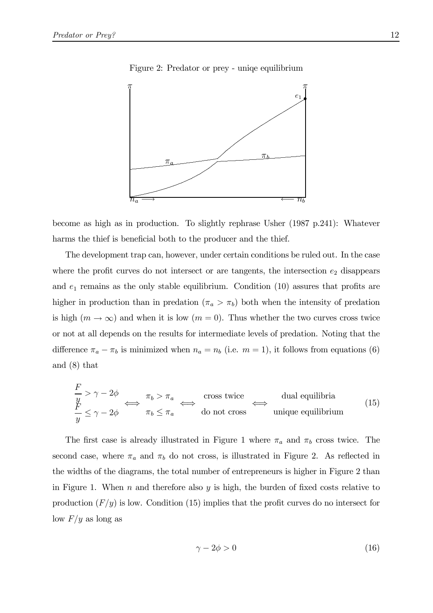

Figure 2: Predator or prey - unique equilibrium

become as high as in production. To slightly rephrase Usher  $(1987 \text{ p.}241)$ : Whatever harms the thief is beneficial both to the producer and the thief.

The development trap can, however, under certain conditions be ruled out. In the case where the profit curves do not intersect or are tangents, the intersection  $e_2$  disappears and  $e_1$  remains as the only stable equilibrium. Condition (10) assures that profits are higher in production than in predation  $(\pi_a > \pi_b)$  both when the intensity of predation is high  $(m \to \infty)$  and when it is low  $(m = 0)$ . Thus whether the two curves cross twice or not at all depends on the results for intermediate levels of predation. Noting that the difference  $\pi_a - \pi_b$  is minimized when  $n_a = n_b$  (i.e.  $m = 1$ ), it follows from equations (6) and  $(8)$  that

$$
\frac{F}{y} > \gamma - 2\phi \iff \pi_b > \pi_a \iff \text{cross twice} \iff \text{dual equilibria}
$$
\n
$$
\frac{F}{y} \le \gamma - 2\phi \iff \pi_b \le \pi_a \iff \text{do not cross} \text{ unique equilibrium}
$$
\n(15)

The first case is already illustrated in Figure 1 where  $\pi_a$  and  $\pi_b$  cross twice. The second case, where  $\pi_a$  and  $\pi_b$  do not cross, is illustrated in Figure 2. As reflected in the widths of the diagrams, the total number of entrepreneurs is higher in Figure 2 than in Figure 1. When n and therefore also y is high, the burden of fixed costs relative to production  $(F/y)$  is low. Condition (15) implies that the profit curves do no intersect for low  $F/y$  as long as

$$
\gamma - 2\phi > 0\tag{16}
$$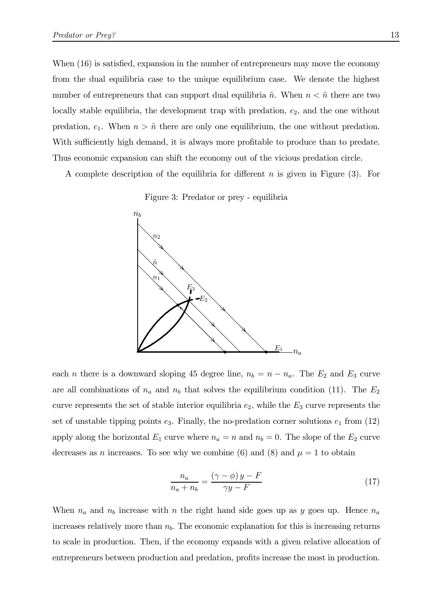When  $(16)$  is satisfied, expansion in the number of entrepreneurs may move the economy from the dual equilibria case to the unique equilibrium case. We denote the highest number of entrepreneurs that can support dual equilibria  $\tilde{n}$ . When  $n < \tilde{n}$  there are two locally stable equilibria, the development trap with predation,  $e_2$ , and the one without predation,  $e_1$ . When  $n > \tilde{n}$  there are only one equilibrium, the one without predation. With sufficiently high demand, it is always more profitable to produce than to predate. Thus economic expansion can shift the economy out of the vicious predation circle.

A complete description of the equilibria for different n is given in Figure  $(3)$ . For





each *n* there is a downward sloping 45 degree line,  $n_b = n - n_a$ . The  $E_2$  and  $E_3$  curve are all combinations of  $n_a$  and  $n_b$  that solves the equilibrium condition (11). The  $E_2$ curve represents the set of stable interior equilibria  $e_2$ , while the  $E_3$  curve represents the set of unstable tipping points  $e_3$ . Finally, the no-predation corner solutions  $e_1$  from (12) apply along the horizontal  $E_1$  curve where  $n_a = n$  and  $n_b = 0$ . The slope of the  $E_2$  curve decreases as n increases. To see why we combine (6) and (8) and  $\mu = 1$  to obtain

$$
\frac{n_a}{n_a + n_b} = \frac{(\gamma - \phi) y - F}{\gamma y - F} \tag{17}
$$

When  $n_a$  and  $n_b$  increase with n the right hand side goes up as y goes up. Hence  $n_a$ increases relatively more than  $n_b$ . The economic explanation for this is increasing returns to scale in production. Then, if the economy expands with a given relative allocation of entrepreneurs between production and predation, profits increase the most in production.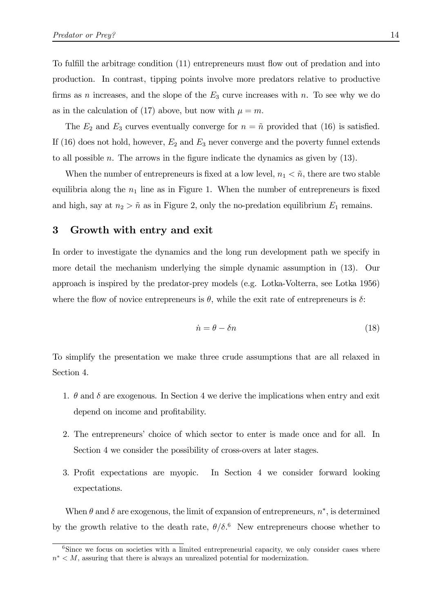To fulfill the arbitrage condition (11) entrepreneurs must flow out of predation and into production. In contrast, tipping points involve more predators relative to productive firms as n increases, and the slope of the  $E_3$  curve increases with n. To see why we do as in the calculation of (17) above, but now with  $\mu = m$ .

The  $E_2$  and  $E_3$  curves eventually converge for  $n = \tilde{n}$  provided that (16) is satisfied. If (16) does not hold, however,  $E_2$  and  $E_3$  never converge and the poverty funnel extends to all possible  $n$ . The arrows in the figure indicate the dynamics as given by  $(13)$ .

When the number of entrepreneurs is fixed at a low level,  $n_1 < \tilde{n}$ , there are two stable equilibria along the  $n_1$  line as in Figure 1. When the number of entrepreneurs is fixed and high, say at  $n_2 > \tilde{n}$  as in Figure 2, only the no-predation equilibrium  $E_1$  remains.

#### 3 Growth with entry and exit

In order to investigate the dynamics and the long run development path we specify in more detail the mechanism underlying the simple dynamic assumption in (13). Our approach is inspired by the predator-prey models (e.g. Lotka-Volterra, see Lotka 1956) where the flow of novice entrepreneurs is  $\theta$ , while the exit rate of entrepreneurs is  $\delta$ :

$$
\dot{n} = \theta - \delta n \tag{18}
$$

To simplify the presentation we make three crude assumptions that are all relaxed in Section 4.

- 1.  $\theta$  and  $\delta$  are exogenous. In Section 4 we derive the implications when entry and exit depend on income and profitability.
- 2. The entrepreneurs' choice of which sector to enter is made once and for all. In Section 4 we consider the possibility of cross-overs at later stages.
- 3. Profit expectations are myopic. In Section 4 we consider forward looking expectations.

When  $\theta$  and  $\delta$  are exogenous, the limit of expansion of entrepreneurs,  $n^*$ , is determined by the growth relative to the death rate,  $\theta/\delta$ .<sup>6</sup> New entrepreneurs choose whether to

<sup>&</sup>lt;sup>6</sup>Since we focus on societies with a limited entrepreneurial capacity, we only consider cases where  $n^* \leq M$ , assuring that there is always an unrealized potential for modernization.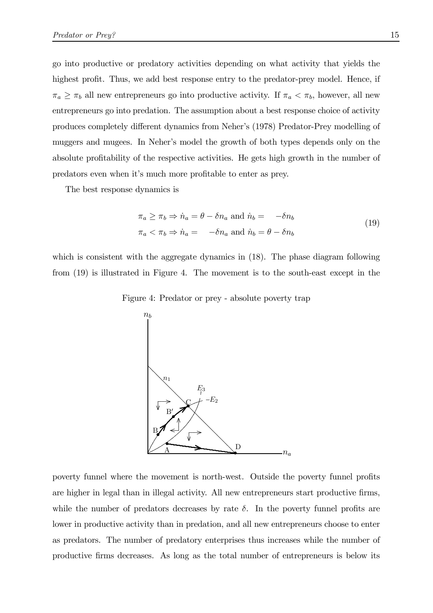go into productive or predatory activities depending on what activity that yields the highest profit. Thus, we add best response entry to the predator-prey model. Hence, if  $\pi_a \geq \pi_b$  all new entrepreneurs go into productive activity. If  $\pi_a < \pi_b$ , however, all new entrepreneurs go into predation. The assumption about a best response choice of activity produces completely different dynamics from Neher's (1978) Predator-Prey modelling of muggers and mugees. In Neher's model the growth of both types depends only on the absolute profitability of the respective activities. He gets high growth in the number of predators even when it's much more profitable to enter as prey.

The best response dynamics is

$$
\pi_a \ge \pi_b \Rightarrow \dot{n}_a = \theta - \delta n_a \text{ and } \dot{n}_b = -\delta n_b
$$
  

$$
\pi_a < \pi_b \Rightarrow \dot{n}_a = -\delta n_a \text{ and } \dot{n}_b = \theta - \delta n_b
$$
\n
$$
(19)
$$

which is consistent with the aggregate dynamics in  $(18)$ . The phase diagram following from (19) is illustrated in Figure 4. The movement is to the south-east except in the





poverty funnel where the movement is north-west. Outside the poverty funnel profits are higher in legal than in illegal activity. All new entrepreneurs start productive firms, while the number of predators decreases by rate  $\delta$ . In the poverty funnel profits are lower in productive activity than in predation, and all new entrepreneurs choose to enter as predators. The number of predatory enterprises thus increases while the number of productive firms decreases. As long as the total number of entrepreneurs is below its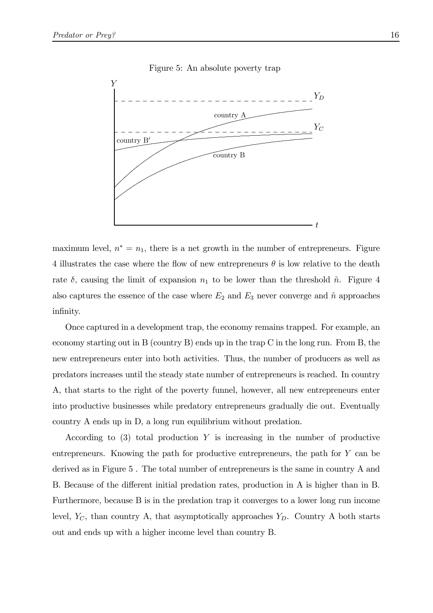

#### Figure 5: An absolute poverty trap

maximum level,  $n^* = n_1$ , there is a net growth in the number of entrepreneurs. Figure 4 illustrates the case where the flow of new entrepreneurs  $\theta$  is low relative to the death rate  $\delta$ , causing the limit of expansion  $n_1$  to be lower than the threshold  $\tilde{n}$ . Figure 4 also captures the essence of the case where  $E_2$  and  $E_3$  never converge and  $\tilde{n}$  approaches infinity.

Once captured in a development trap, the economy remains trapped. For example, an economy starting out in B (country B) ends up in the trap C in the long run. From B, the new entrepreneurs enter into both activities. Thus, the number of producers as well as predators increases until the steady state number of entrepreneurs is reached. In country A, that starts to the right of the poverty funnel, however, all new entrepreneurs enter into productive businesses while predatory entrepreneurs gradually die out. Eventually country A ends up in D, a long run equilibrium without predation.

According to  $(3)$  total production Y is increasing in the number of productive entrepreneurs. Knowing the path for productive entrepreneurs, the path for  $Y$  can be derived as in Figure 5. The total number of entrepreneurs is the same in country A and B. Because of the different initial predation rates, production in A is higher than in B. Furthermore, because B is in the predation trap it converges to a lower long run income level,  $Y_C$ , than country A, that asymptotically approaches  $Y_D$ . Country A both starts out and ends up with a higher income level than country B.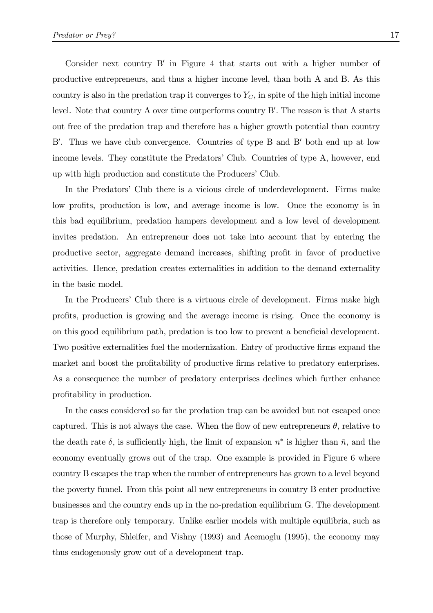Consider next country  $B'$  in Figure 4 that starts out with a higher number of productive entrepreneurs, and thus a higher income level, than both A and B. As this country is also in the predation trap it converges to  $Y_C$ , in spite of the high initial income level. Note that country A over time outperforms country B'. The reason is that A starts out free of the predation trap and therefore has a higher growth potential than country B'. Thus we have club convergence. Countries of type B and B' both end up at low income levels. They constitute the Predators' Club. Countries of type A, however, end up with high production and constitute the Producers' Club.

In the Predators' Club there is a vicious circle of underdevelopment. Firms make low profits, production is low, and average income is low. Once the economy is in this bad equilibrium, predation hampers development and a low level of development invites predation. An entrepreneur does not take into account that by entering the productive sector, aggregate demand increases, shifting profit in favor of productive activities. Hence, predation creates externalities in addition to the demand externality in the basic model.

In the Producers' Club there is a virtuous circle of development. Firms make high profits, production is growing and the average income is rising. Once the economy is on this good equilibrium path, predation is too low to prevent a beneficial development. Two positive externalities fuel the modernization. Entry of productive firms expand the market and boost the profitability of productive firms relative to predatory enterprises. As a consequence the number of predatory enterprises declines which further enhance profitability in production.

In the cases considered so far the predation trap can be avoided but not escaped once captured. This is not always the case. When the flow of new entrepreneurs  $\theta$ , relative to the death rate  $\delta$ , is sufficiently high, the limit of expansion  $n^*$  is higher than  $\tilde{n}$ , and the economy eventually grows out of the trap. One example is provided in Figure 6 where country B escapes the trap when the number of entrepreneurs has grown to a level beyond the poverty funnel. From this point all new entrepreneurs in country B enter productive businesses and the country ends up in the no-predation equilibrium G. The development trap is therefore only temporary. Unlike earlier models with multiple equilibria, such as those of Murphy, Shleifer, and Vishny (1993) and Acemoglu (1995), the economy may thus endogenously grow out of a development trap.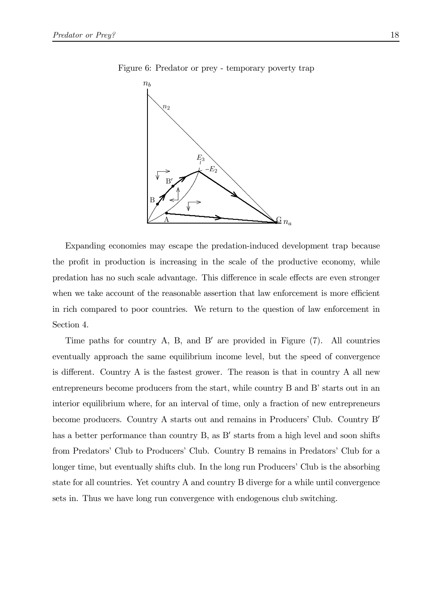

Figure 6: Predator or prey - temporary poverty trap

Expanding economies may escape the predation-induced development trap because the profit in production is increasing in the scale of the productive economy, while predation has no such scale advantage. This difference in scale effects are even stronger when we take account of the reasonable assertion that law enforcement is more efficient in rich compared to poor countries. We return to the question of law enforcement in Section 4.

Time paths for country A, B, and B' are provided in Figure (7). All countries eventually approach the same equilibrium income level, but the speed of convergence is different. Country A is the fastest grower. The reason is that in country A all new entrepreneurs become producers from the start, while country B and B' starts out in an interior equilibrium where, for an interval of time, only a fraction of new entrepreneurs become producers. Country A starts out and remains in Producers' Club. Country B' has a better performance than country B, as B' starts from a high level and soon shifts from Predators' Club to Producers' Club. Country B remains in Predators' Club for a longer time, but eventually shifts club. In the long run Producers' Club is the absorbing state for all countries. Yet country A and country B diverge for a while until convergence sets in. Thus we have long run convergence with endogenous club switching.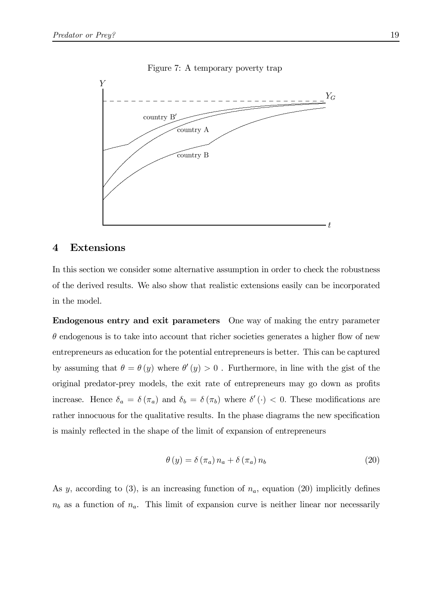



#### **Extensions**  $\boldsymbol{4}$

In this section we consider some alternative assumption in order to check the robustness of the derived results. We also show that realistic extensions easily can be incorporated in the model.

**Endogenous entry and exit parameters** One way of making the entry parameter  $\theta$  endogenous is to take into account that richer societies generates a higher flow of new entrepreneurs as education for the potential entrepreneurs is better. This can be captured by assuming that  $\theta = \theta(y)$  where  $\theta'(y) > 0$ . Furthermore, in line with the gist of the original predator-prey models, the exit rate of entrepreneurs may go down as profits increase. Hence  $\delta_a = \delta(\pi_a)$  and  $\delta_b = \delta(\pi_b)$  where  $\delta'(\cdot) < 0$ . These modifications are rather innocuous for the qualitative results. In the phase diagrams the new specification is mainly reflected in the shape of the limit of expansion of entrepreneurs

$$
\theta(y) = \delta(\pi_a) n_a + \delta(\pi_a) n_b \tag{20}
$$

As y, according to (3), is an increasing function of  $n_a$ , equation (20) implicitly defines  $n_b$  as a function of  $n_a$ . This limit of expansion curve is neither linear nor necessarily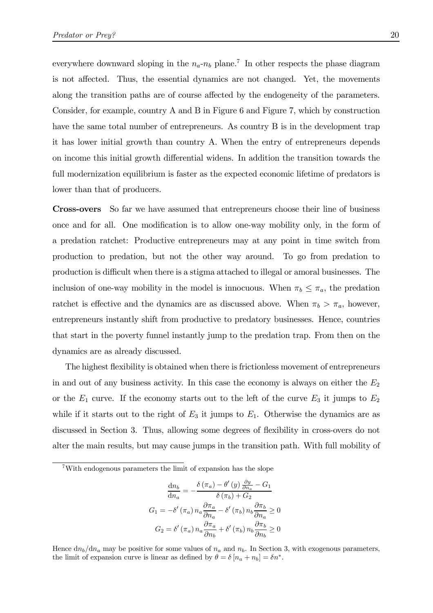everywhere downward sloping in the  $n_a-n_b$  plane.<sup>7</sup> In other respects the phase diagram is not affected. Thus, the essential dynamics are not changed. Yet, the movements along the transition paths are of course affected by the endogeneity of the parameters. Consider, for example, country A and B in Figure 6 and Figure 7, which by construction have the same total number of entrepreneurs. As country B is in the development trap it has lower initial growth than country A. When the entry of entrepreneurs depends on income this initial growth differential widens. In addition the transition towards the full modernization equilibrium is faster as the expected economic lifetime of predators is lower than that of producers.

Cross-overs So far we have assumed that entrepreneurs choose their line of business once and for all. One modification is to allow one-way mobility only, in the form of a predation ratchet: Productive entrepreneurs may at any point in time switch from production to predation, but not the other way around. To go from predation to production is difficult when there is a stigma attached to illegal or amoral businesses. The inclusion of one-way mobility in the model is innocuous. When  $\pi_b \leq \pi_a$ , the predation ratchet is effective and the dynamics are as discussed above. When  $\pi_b > \pi_a$ , however, entrepreneurs instantly shift from productive to predatory businesses. Hence, countries that start in the poverty funnel instantly jump to the predation trap. From then on the dynamics are as already discussed.

The highest flexibility is obtained when there is frictionless movement of entrepreneurs in and out of any business activity. In this case the economy is always on either the  $E_2$ or the  $E_1$  curve. If the economy starts out to the left of the curve  $E_3$  it jumps to  $E_2$ while if it starts out to the right of  $E_3$  it jumps to  $E_1$ . Otherwise the dynamics are as discussed in Section 3. Thus, allowing some degrees of flexibility in cross-overs do not alter the main results, but may cause jumps in the transition path. With full mobility of

$$
\frac{dn_b}{dn_a} = -\frac{\delta (\pi_a) - \theta'(y) \frac{\partial y}{\partial n_a} - G_1}{\delta (\pi_b) + G_2}
$$

$$
G_1 = -\delta' (\pi_a) n_a \frac{\partial \pi_a}{\partial n_a} - \delta' (\pi_b) n_b \frac{\partial \pi_b}{\partial n_a} \ge 0
$$

$$
G_2 = \delta' (\pi_a) n_a \frac{\partial \pi_a}{\partial n_b} + \delta' (\pi_b) n_b \frac{\partial \pi_b}{\partial n_b} \ge 0
$$

Hence  $dn_b/dn_a$  may be positive for some values of  $n_a$  and  $n_b$ . In Section 3, with exogenous parameters, the limit of expansion curve is linear as defined by  $\theta = \delta [n_a + n_b] = \delta n^*$ .

<sup>7</sup>With endogenous parameters the limit of expansion has the slope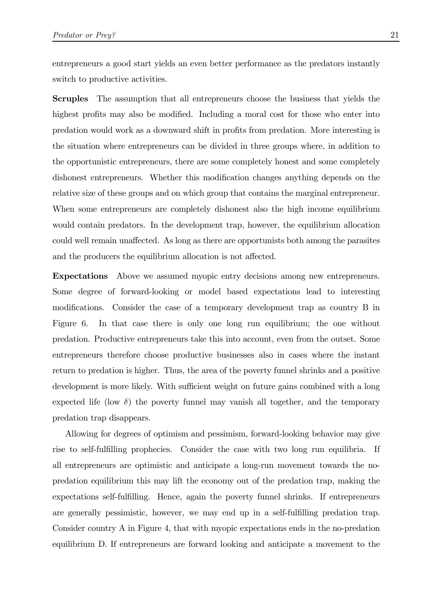entrepreneurs a good start yields an even better performance as the predators instantly switch to productive activities.

Scruples The assumption that all entrepreneurs choose the business that yields the highest profits may also be modified. Including a moral cost for those who enter into predation would work as a downward shift in profits from predation. More interesting is the situation where entrepreneurs can be divided in three groups where, in addition to the opportunistic entrepreneurs, there are some completely honest and some completely dishonest entrepreneurs. Whether this modification changes anything depends on the relative size of these groups and on which group that contains the marginal entrepreneur. When some entrepreneurs are completely dishonest also the high income equilibrium would contain predators. In the development trap, however, the equilibrium allocation could well remain unaffected. As long as there are opportunists both among the parasites and the producers the equilibrium allocation is not affected.

Expectations Above we assumed myopic entry decisions among new entrepreneurs. Some degree of forward-looking or model based expectations lead to interesting modifications. Consider the case of a temporary development trap as country B in Figure 6. In that case there is only one long run equilibrium; the one without predation. Productive entrepreneurs take this into account, even from the outset. Some entrepreneurs therefore choose productive businesses also in cases where the instant return to predation is higher. Thus, the area of the poverty funnel shrinks and a positive development is more likely. With sufficient weight on future gains combined with a long expected life (low  $\delta$ ) the poverty funnel may vanish all together, and the temporary predation trap disappears.

Allowing for degrees of optimism and pessimism, forward-looking behavior may give rise to self-fulfilling prophecies. Consider the case with two long run equilibria. If all entrepreneurs are optimistic and anticipate a long-run movement towards the nopredation equilibrium this may lift the economy out of the predation trap, making the expectations self-fulfilling. Hence, again the poverty funnel shrinks. If entrepreneurs are generally pessimistic, however, we may end up in a self-fulfilling predation trap. Consider country A in Figure 4, that with myopic expectations ends in the no-predation equilibrium D. If entrepreneurs are forward looking and anticipate a movement to the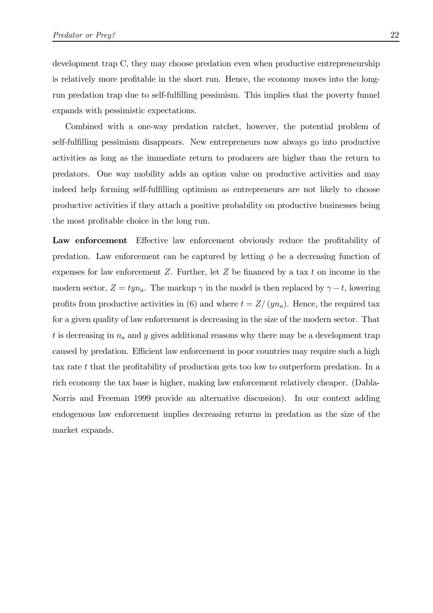development trap C, they may choose predation even when productive entrepreneurship is relatively more profitable in the short run. Hence, the economy moves into the longrun predation trap due to self-fulfilling pessimism. This implies that the poverty funnel expands with pessimistic expectations.

Combined with a one-way predation ratchet, however, the potential problem of self-fulfilling pessimism disappears. New entrepreneurs now always go into productive activities as long as the immediate return to producers are higher than the return to predators. One way mobility adds an option value on productive activities and may indeed help forming self-fulfilling optimism as entrepreneurs are not likely to choose productive activities if they attach a positive probability on productive businesses being the most profitable choice in the long run.

Law enforcement Effective law enforcement obviously reduce the profitability of predation. Law enforcement can be captured by letting  $\phi$  be a decreasing function of expenses for law enforcement  $Z$ . Further, let  $Z$  be financed by a tax t on income in the modern sector,  $Z = typ_a$ . The markup  $\gamma$  in the model is then replaced by  $\gamma - t$ , lowering profits from productive activities in (6) and where  $t = Z/(yn_a)$ . Hence, the required tax for a given quality of law enforcement is decreasing in the size of the modern sector. That t is decreasing in  $n_a$  and y gives additional reasons why there may be a development trap caused by predation. Efficient law enforcement in poor countries may require such a high tax rate  $t$  that the profitability of production gets too low to outperform predation. In a rich economy the tax base is higher, making law enforcement relatively cheaper. (Dabla-Norris and Freeman 1999 provide an alternative discussion). In our context adding endogenous law enforcement implies decreasing returns in predation as the size of the market expands.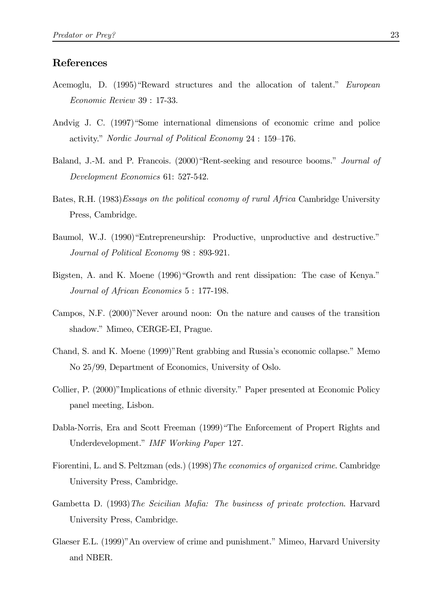#### References

- Acemoglu, D. (1995)"Reward structures and the allocation of talent." European Economic Review 39 : 17-33.
- Andvig J. C. (1997)"Some international dimensions of economic crime and police activity." Nordic Journal of Political Economy 24 : 159–176.
- Baland, J.-M. and P. Francois. (2000)"Rent-seeking and resource booms." Journal of Development Economics 61: 527-542.
- Bates, R.H. (1983)Essays on the political economy of rural Africa Cambridge University Press, Cambridge.
- Baumol, W.J. (1990) "Entrepreneurship: Productive, unproductive and destructive." Journal of Political Economy 98 : 893-921.
- Bigsten, A. and K. Moene (1996)"Growth and rent dissipation: The case of Kenya." Journal of African Economies 5 : 177-198.
- Campos, N.F. (2000)"Never around noon: On the nature and causes of the transition shadow." Mimeo, CERGE-EI, Prague.
- Chand, S. and K. Moene (1999)"Rent grabbing and Russia's economic collapse." Memo No 25/99, Department of Economics, University of Oslo.
- Collier, P. (2000)"Implications of ethnic diversity." Paper presented at Economic Policy panel meeting, Lisbon.
- Dabla-Norris, Era and Scott Freeman (1999)"The Enforcement of Propert Rights and Underdevelopment." IMF Working Paper 127.
- Fiorentini, L. and S. Peltzman (eds.) (1998) The economics of organized crime. Cambridge University Press, Cambridge.
- Gambetta D. (1993) The Scicilian Mafia: The business of private protection. Harvard University Press, Cambridge.
- Glaeser E.L. (1999)"An overview of crime and punishment." Mimeo, Harvard University and NBER.